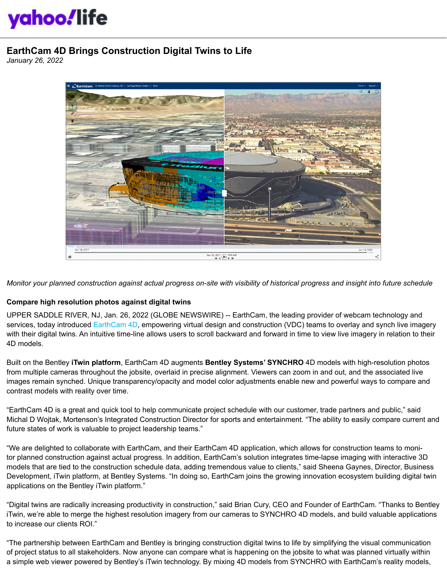## yahoo!life

## **EarthCam 4D Brings Construction Digital Twins to Life**

*January 26, 2022*



*Monitor your planned construction against actual progress on-site with visibility of historical progress and insight into future schedule*

## **Compare high resolution photos against digital twins**

UPPER SADDLE RIVER, NJ, Jan. 26, 2022 (GLOBE NEWSWIRE) -- EarthCam, the leading provider of webcam technology and services, today introduced [EarthCam 4D,](https://www.earthcam.net/earthcam4d/) empowering virtual design and construction (VDC) teams to overlay and synch live imagery with their digital twins. An intuitive time-line allows users to scroll backward and forward in time to view live imagery in relation to their 4D models.

Built on the Bentley **iTwin platform**, EarthCam 4D augments **Bentley Systems' SYNCHRO** 4D models with high-resolution photos from multiple cameras throughout the jobsite, overlaid in precise alignment. Viewers can zoom in and out, and the associated live images remain synched. Unique transparency/opacity and model color adjustments enable new and powerful ways to compare and contrast models with reality over time.

"EarthCam 4D is a great and quick tool to help communicate project schedule with our customer, trade partners and public," said Michal D Wojtak, Mortenson's Integrated Construction Director for sports and entertainment. "The ability to easily compare current and future states of work is valuable to project leadership teams."

"We are delighted to collaborate with EarthCam, and their EarthCam 4D application, which allows for construction teams to monitor planned construction against actual progress. In addition, EarthCam's solution integrates time-lapse imaging with interactive 3D models that are tied to the construction schedule data, adding tremendous value to clients," said Sheena Gaynes, Director, Business Development, iTwin platform, at Bentley Systems. "In doing so, EarthCam joins the growing innovation ecosystem building digital twin applications on the Bentley iTwin platform."

"Digital twins are radically increasing productivity in construction," said Brian Cury, CEO and Founder of EarthCam. "Thanks to Bentley iTwin, we're able to merge the highest resolution imagery from our cameras to SYNCHRO 4D models, and build valuable applications to increase our clients ROI."

"The partnership between EarthCam and Bentley is bringing construction digital twins to life by simplifying the visual communication of project status to all stakeholders. Now anyone can compare what is happening on the jobsite to what was planned virtually within a simple web viewer powered by Bentley's iTwin technology. By mixing 4D models from SYNCHRO with EarthCam's reality models,